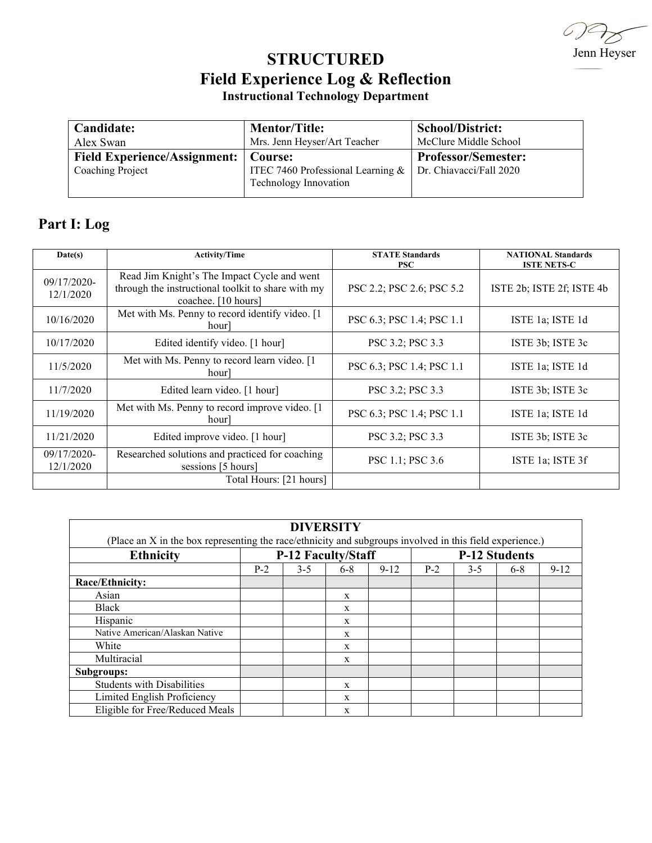Jenn Heyser

## **STRUCTURED Field Experience Log & Reflection Instructional Technology Department**

| Candidate:                                              | <b>Mentor/Title:</b>                                                    | <b>School/District:</b>                               |
|---------------------------------------------------------|-------------------------------------------------------------------------|-------------------------------------------------------|
| Alex Swan                                               | Mrs. Jenn Heyser/Art Teacher                                            | McClure Middle School                                 |
| <b>Field Experience/Assignment:</b><br>Coaching Project | Course:<br>ITEC 7460 Professional Learning $&$<br>Technology Innovation | <b>Professor/Semester:</b><br>Dr. Chiavacci/Fall 2020 |

## **Part I: Log**

| Date(s)                  | <b>Activity/Time</b>                                                                                                     | <b>STATE Standards</b><br><b>PSC</b> | <b>NATIONAL Standards</b><br><b>ISTE NETS-C</b> |  |  |
|--------------------------|--------------------------------------------------------------------------------------------------------------------------|--------------------------------------|-------------------------------------------------|--|--|
| 09/17/2020-<br>12/1/2020 | Read Jim Knight's The Impact Cycle and went<br>through the instructional toolkit to share with my<br>coachee. [10 hours] | PSC 2.2; PSC 2.6; PSC 5.2            | ISTE 2b; ISTE 2f; ISTE 4b                       |  |  |
| 10/16/2020               | Met with Ms. Penny to record identify video. [1]<br>hour                                                                 | PSC 6.3; PSC 1.4; PSC 1.1            | ISTE 1a; ISTE 1d                                |  |  |
| 10/17/2020               | Edited identify video. [1 hour]                                                                                          | PSC 3.2; PSC 3.3                     | ISTE 3b; ISTE 3c                                |  |  |
| 11/5/2020                | Met with Ms. Penny to record learn video. [1<br>hour                                                                     | PSC 6.3; PSC 1.4; PSC 1.1            | ISTE 1a; ISTE 1d                                |  |  |
| 11/7/2020                | Edited learn video. [1 hour]                                                                                             | PSC 3.2; PSC 3.3                     | ISTE 3b; ISTE 3c                                |  |  |
| 11/19/2020               | Met with Ms. Penny to record improve video. [1]<br>hour                                                                  | PSC 6.3; PSC 1.4; PSC 1.1            | ISTE 1a; ISTE 1d                                |  |  |
| 11/21/2020               | Edited improve video. [1 hour]                                                                                           | PSC 3.2; PSC 3.3                     | ISTE 3b; ISTE 3c                                |  |  |
| 09/17/2020-<br>12/1/2020 | Researched solutions and practiced for coaching<br>sessions [5 hours]                                                    | PSC 1.1; PSC 3.6                     | ISTE 1a; ISTE 3f                                |  |  |
|                          | Total Hours: [21 hours]                                                                                                  |                                      |                                                 |  |  |

| <b>DIVERSITY</b>                                                                                         |                           |         |       |                      |       |         |         |          |  |  |  |  |
|----------------------------------------------------------------------------------------------------------|---------------------------|---------|-------|----------------------|-------|---------|---------|----------|--|--|--|--|
| (Place an X in the box representing the race/ethnicity and subgroups involved in this field experience.) |                           |         |       |                      |       |         |         |          |  |  |  |  |
| <b>Ethnicity</b>                                                                                         | <b>P-12 Faculty/Staff</b> |         |       | <b>P-12 Students</b> |       |         |         |          |  |  |  |  |
|                                                                                                          | $P-2$                     | $3 - 5$ | $6-8$ | $9 - 12$             | $P-2$ | $3 - 5$ | $6 - 8$ | $9 - 12$ |  |  |  |  |
| Race/Ethnicity:                                                                                          |                           |         |       |                      |       |         |         |          |  |  |  |  |
| Asian                                                                                                    |                           |         | X     |                      |       |         |         |          |  |  |  |  |
| Black                                                                                                    |                           |         | X     |                      |       |         |         |          |  |  |  |  |
| Hispanic                                                                                                 |                           |         | X     |                      |       |         |         |          |  |  |  |  |
| Native American/Alaskan Native                                                                           |                           |         | X     |                      |       |         |         |          |  |  |  |  |
| White                                                                                                    |                           |         | X     |                      |       |         |         |          |  |  |  |  |
| Multiracial                                                                                              |                           |         | X     |                      |       |         |         |          |  |  |  |  |
| Subgroups:                                                                                               |                           |         |       |                      |       |         |         |          |  |  |  |  |
| <b>Students with Disabilities</b>                                                                        |                           |         | X     |                      |       |         |         |          |  |  |  |  |
| Limited English Proficiency                                                                              |                           |         | X     |                      |       |         |         |          |  |  |  |  |
| Eligible for Free/Reduced Meals                                                                          |                           |         | X     |                      |       |         |         |          |  |  |  |  |